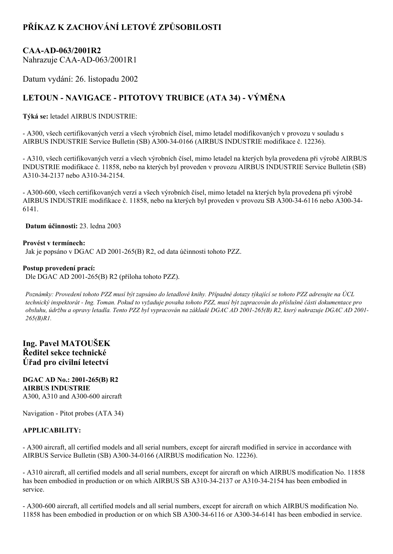## **PŘÍKAZ K ZACHOVÁNÍ LETOVÉ ZPŮSOBILOSTI**

### **CAAAD063/2001R2**

Nahrazuje CAA-AD-063/2001R1

Datum vydání: 26. listopadu 2002

# **LETOUN NAVIGACE PITOTOVY TRUBICE (ATA 34) VÝMĚNA**

**Týká se:** letadel AIRBUS INDUSTRIE:

 A300, všech certifikovaných verzí a všech výrobních čísel, mimo letadel modifikovaných v provozu v souladu s AIRBUS INDUSTRIE Service Bulletin (SB) A300340166 (AIRBUS INDUSTRIE modifikace č. 12236).

 A310, všech certifikovaných verzí a všech výrobních čísel, mimo letadel na kterých byla provedena při výrobě AIRBUS INDUSTRIE modifikace č. 11858, nebo na kterých byl proveden v provozu AIRBUS INDUSTRIE Service Bulletin (SB) A310-34-2137 nebo A310-34-2154.

 A300600, všech certifikovaných verzí a všech výrobních čísel, mimo letadel na kterých byla provedena při výrobě AIRBUS INDUSTRIE modifikace č. 11858, nebo na kterých byl proveden v provozu SB A300-34-6116 nebo A300-34-6141.

**Datum účinnosti:** 23. ledna 2003

**Provést v termínech:** Jak je popsáno v DGAC AD 2001265(B) R2, od data účinnosti tohoto PZZ.

#### **Postup provedení prací:**

Dle DGAC AD 2001-265(B) R2 (příloha tohoto PZZ).

Poznámky: Provedení tohoto PZZ musí být zapsáno do letadlové knihy. Případné dotazy týkající se tohoto PZZ adresujte na ÚCL technický inspektorát - Ing. Toman. Pokud to vyžaduje povaha tohoto PZZ, musí být zapracován do příslušné části dokumentace pro obsluhu, údržbu a opravy letadla. Tento PZZ byl vypracován na základě DGAC AD 2001-265(B) R2, který nahrazuje DGAC AD 2001-*265(B)R1.*

**Ing. Pavel MATOUŠEK Ředitel sekce technické Úřad pro civilní letectví**

**DGAC AD No.: 2001265(B) R2 AIRBUS INDUSTRIE** A300, A310 and A300-600 aircraft

Navigation - Pitot probes (ATA 34)

#### **APPLICABILITY:**

 A300 aircraft, all certified models and all serial numbers, except for aircraft modified in service in accordance with AIRBUS Service Bulletin (SB) A300-34-0166 (AIRBUS modification No. 12236).

 A310 aircraft, all certified models and all serial numbers, except for aircraft on which AIRBUS modification No. 11858 has been embodied in production or on which AIRBUS SB A310-34-2137 or A310-34-2154 has been embodied in service.

 A300600 aircraft, all certified models and all serial numbers, except for aircraft on which AIRBUS modification No. 11858 has been embodied in production or on which SB A300-34-6116 or A300-34-6141 has been embodied in service.